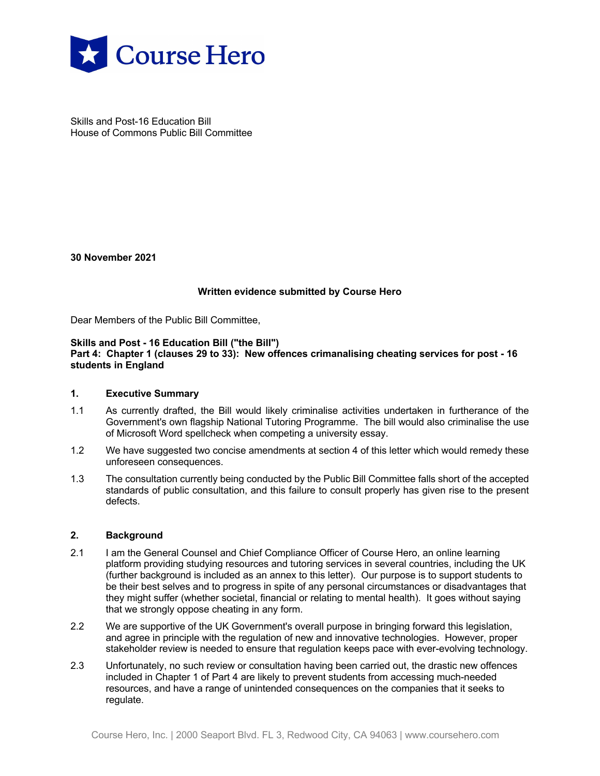

Skills and Post-16 Education Bill House of Commons Public Bill Committee

**30 November 2021**

# **Written evidence submitted by Course Hero**

Dear Members of the Public Bill Committee,

#### **Skills and Post - 16 Education Bill ("the Bill") Part 4: Chapter 1 (clauses 29 to 33): New offences crimanalising cheating services for post - 16 students in England**

### **1. Executive Summary**

- 1.1 As currently drafted, the Bill would likely criminalise activities undertaken in furtherance of the Government's own flagship National Tutoring Programme. The bill would also criminalise the use of Microsoft Word spellcheck when competing a university essay.
- 1.2 We have suggested two concise amendments at section 4 of this letter which would remedy these unforeseen consequences.
- 1.3 The consultation currently being conducted by the Public Bill Committee falls short of the accepted standards of public consultation, and this failure to consult properly has given rise to the present defects.

### **2. Background**

- 2.1 I am the General Counsel and Chief Compliance Officer of Course Hero, an online learning platform providing studying resources and tutoring services in several countries, including the UK (further background is included as an annex to this letter). Our purpose is to support students to be their best selves and to progress in spite of any personal circumstances or disadvantages that they might suffer (whether societal, financial or relating to mental health). It goes without saying that we strongly oppose cheating in any form.
- 2.2 We are supportive of the UK Government's overall purpose in bringing forward this legislation, and agree in principle with the regulation of new and innovative technologies. However, proper stakeholder review is needed to ensure that regulation keeps pace with ever-evolving technology.
- 2.3 Unfortunately, no such review or consultation having been carried out, the drastic new offences included in Chapter 1 of Part 4 are likely to prevent students from accessing much-needed resources, and have a range of unintended consequences on the companies that it seeks to regulate.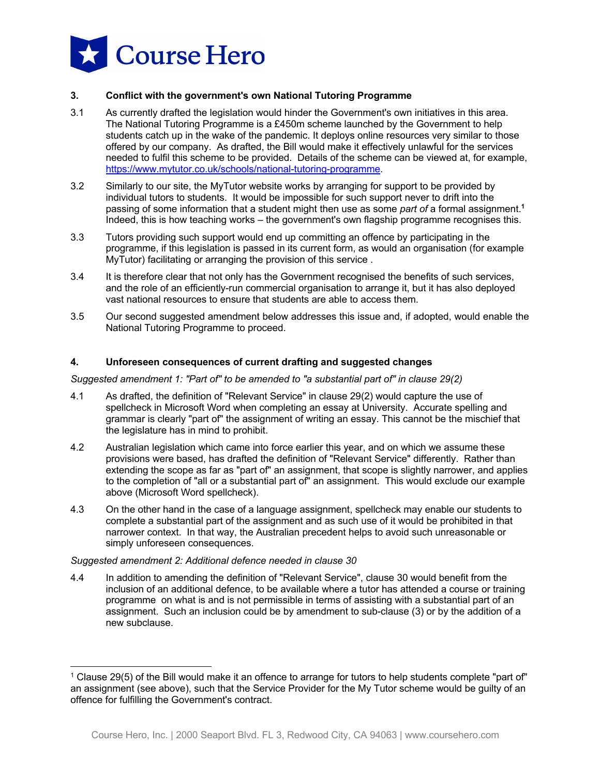

# **3. Conflict with the government's own National Tutoring Programme**

- 3.1 As currently drafted the legislation would hinder the Government's own initiatives in this area. The National Tutoring Programme is a £450m scheme launched by the Government to help students catch up in the wake of the pandemic. It deploys online resources very similar to those offered by our company. As drafted, the Bill would make it effectively unlawful for the services needed to fulfil this scheme to be provided. Details of the scheme can be viewed at, for example, https://www.mytutor.co.uk/schools/national-tutoring-programme.
- 3.2 Similarly to our site, the MyTutor website works by arranging for support to be provided by individual tutors to students. It would be impossible for such support never to drift into the passing of some information that a student might then use as some *part of* a formal assignment.**<sup>1</sup>** Indeed, this is how teaching works – the government's own flagship programme recognises this.
- 3.3 Tutors providing such support would end up committing an offence by participating in the programme, if this legislation is passed in its current form, as would an organisation (for example MyTutor) facilitating or arranging the provision of this service .
- 3.4 It is therefore clear that not only has the Government recognised the benefits of such services, and the role of an efficiently-run commercial organisation to arrange it, but it has also deployed vast national resources to ensure that students are able to access them.
- 3.5 Our second suggested amendment below addresses this issue and, if adopted, would enable the National Tutoring Programme to proceed.

# **4. Unforeseen consequences of current drafting and suggested changes**

*Suggested amendment 1: "Part of" to be amended to "a substantial part of" in clause 29(2)*

- 4.1 As drafted, the definition of "Relevant Service" in clause 29(2) would capture the use of spellcheck in Microsoft Word when completing an essay at University. Accurate spelling and grammar is clearly "part of" the assignment of writing an essay. This cannot be the mischief that the legislature has in mind to prohibit.
- 4.2 Australian legislation which came into force earlier this year, and on which we assume these provisions were based, has drafted the definition of "Relevant Service" differently. Rather than extending the scope as far as "part of" an assignment, that scope is slightly narrower, and applies to the completion of "all or a substantial part of" an assignment. This would exclude our example above (Microsoft Word spellcheck).
- 4.3 On the other hand in the case of a language assignment, spellcheck may enable our students to complete a substantial part of the assignment and as such use of it would be prohibited in that narrower context. In that way, the Australian precedent helps to avoid such unreasonable or simply unforeseen consequences.

# *Suggested amendment 2: Additional defence needed in clause 30*

4.4 In addition to amending the definition of "Relevant Service", clause 30 would benefit from the inclusion of an additional defence, to be available where a tutor has attended a course or training programme on what is and is not permissible in terms of assisting with a substantial part of an assignment. Such an inclusion could be by amendment to sub-clause (3) or by the addition of a new subclause.

 $1$  Clause 29(5) of the Bill would make it an offence to arrange for tutors to help students complete "part of" an assignment (see above), such that the Service Provider for the My Tutor scheme would be guilty of an offence for fulfilling the Government's contract.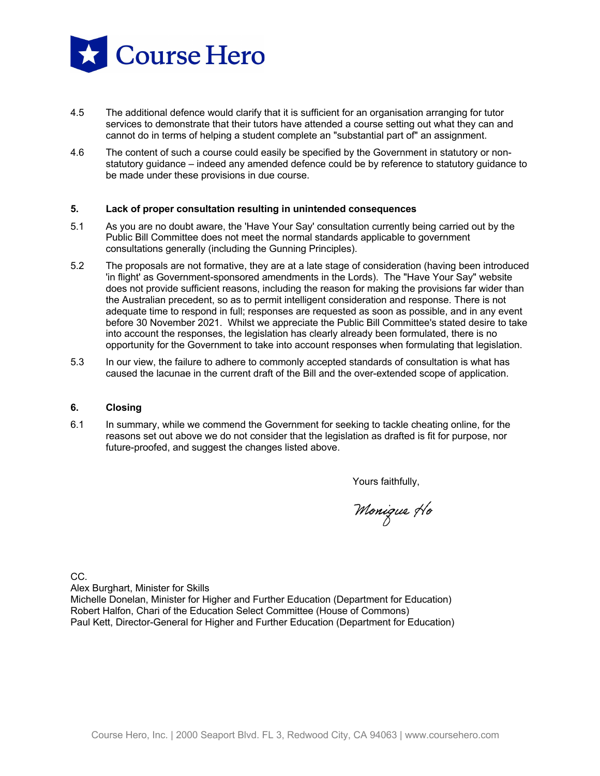

- 4.5 The additional defence would clarify that it is sufficient for an organisation arranging for tutor services to demonstrate that their tutors have attended a course setting out what they can and cannot do in terms of helping a student complete an "substantial part of" an assignment.
- 4.6 The content of such a course could easily be specified by the Government in statutory or nonstatutory guidance – indeed any amended defence could be by reference to statutory guidance to be made under these provisions in due course.

#### **5. Lack of proper consultation resulting in unintended consequences**

- 5.1 As you are no doubt aware, the 'Have Your Say' consultation currently being carried out by the Public Bill Committee does not meet the normal standards applicable to government consultations generally (including the Gunning Principles).
- 5.2 The proposals are not formative, they are at a late stage of consideration (having been introduced 'in flight' as Government-sponsored amendments in the Lords). The "Have Your Say" website does not provide sufficient reasons, including the reason for making the provisions far wider than the Australian precedent, so as to permit intelligent consideration and response. There is not adequate time to respond in full; responses are requested as soon as possible, and in any event before 30 November 2021. Whilst we appreciate the Public Bill Committee's stated desire to take into account the responses, the legislation has clearly already been formulated, there is no opportunity for the Government to take into account responses when formulating that legislation.
- 5.3 In our view, the failure to adhere to commonly accepted standards of consultation is what has caused the lacunae in the current draft of the Bill and the over-extended scope of application.

#### **6. Closing**

6.1 In summary, while we commend the Government for seeking to tackle cheating online, for the reasons set out above we do not consider that the legislation as drafted is fit for purpose, nor future-proofed, and suggest the changes listed above.

Yours faithfully,

Monique Ho

CC.

Alex Burghart, Minister for Skills

Michelle Donelan, Minister for Higher and Further Education (Department for Education) Robert Halfon, Chari of the Education Select Committee (House of Commons) Paul Kett, Director-General for Higher and Further Education (Department for Education)